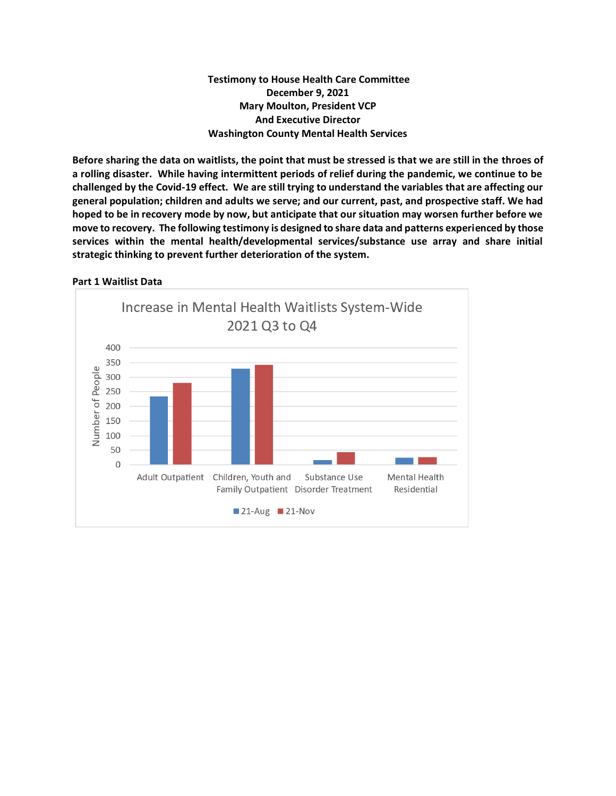## **Testimony to House Health Care Committee December 9, 2021 Mary Moulton, President VCP And Executive Director Washington County Mental Health Services**

**Before sharing the data on waitlists, the point that must be stressed is that we are still in the throes of a rolling disaster. While having intermittent periods of relief during the pandemic, we continue to be challenged by the Covid-19 effect. We are still trying to understand the variables that are affecting our general population; children and adults we serve; and our current, past, and prospective staff. We had hoped to be in recovery mode by now, but anticipate that our situation may worsen further before we move to recovery. The following testimony is designed to share data and patterns experienced by those services within the mental health/developmental services/substance use array and share initial strategic thinking to prevent further deterioration of the system.**

## **Part 1 Waitlist Data**

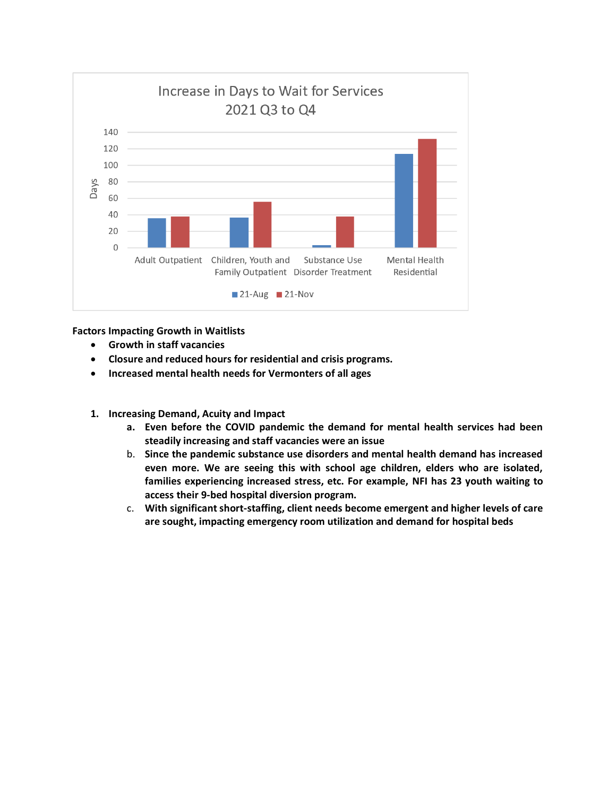

**Factors Impacting Growth in Waitlists**

- **Growth in staff vacancies**
- **Closure and reduced hours for residential and crisis programs.**
- **Increased mental health needs for Vermonters of all ages**
- **1. Increasing Demand, Acuity and Impact**
	- **a. Even before the COVID pandemic the demand for mental health services had been steadily increasing and staff vacancies were an issue**
	- b. **Since the pandemic substance use disorders and mental health demand has increased even more. We are seeing this with school age children, elders who are isolated, families experiencing increased stress, etc. For example, NFI has 23 youth waiting to access their 9-bed hospital diversion program.**
	- c. **With significant short-staffing, client needs become emergent and higher levels of care are sought, impacting emergency room utilization and demand for hospital beds**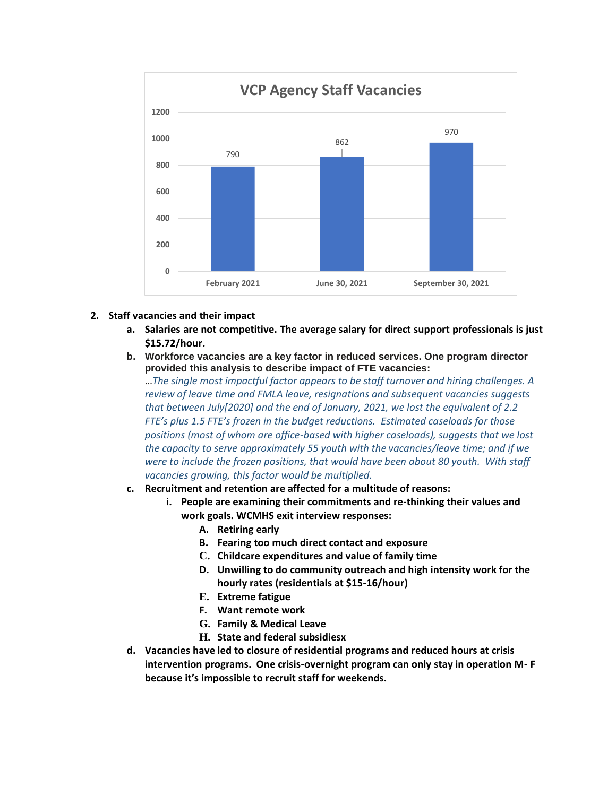

- **2. Staff vacancies and their impact**
	- **a. Salaries are not competitive. The average salary for direct support professionals is just \$15.72/hour.**
	- **b. Workforce vacancies are a key factor in reduced services. One program director provided this analysis to describe impact of FTE vacancies:**

…*The single most impactful factor appears to be staff turnover and hiring challenges. A review of leave time and FMLA leave, resignations and subsequent vacancies suggests that between July[2020] and the end of January, 2021, we lost the equivalent of 2.2 FTE's plus 1.5 FTE's frozen in the budget reductions. Estimated caseloads for those positions (most of whom are office-based with higher caseloads), suggests that we lost the capacity to serve approximately 55 youth with the vacancies/leave time; and if we were to include the frozen positions, that would have been about 80 youth. With staff vacancies growing, this factor would be multiplied.* 

- **c. Recruitment and retention are affected for a multitude of reasons:** 
	- **i. People are examining their commitments and re-thinking their values and work goals. WCMHS exit interview responses:**
		- **A. Retiring early**
		- **B. Fearing too much direct contact and exposure**
		- **C. Childcare expenditures and value of family time**
		- **D. Unwilling to do community outreach and high intensity work for the hourly rates (residentials at \$15-16/hour)**
		- **E. Extreme fatigue**
		- **F. Want remote work**
		- **G. Family & Medical Leave**
		- **H. State and federal subsidiesx**
- **d. Vacancies have led to closure of residential programs and reduced hours at crisis intervention programs. One crisis-overnight program can only stay in operation M- F because it's impossible to recruit staff for weekends.**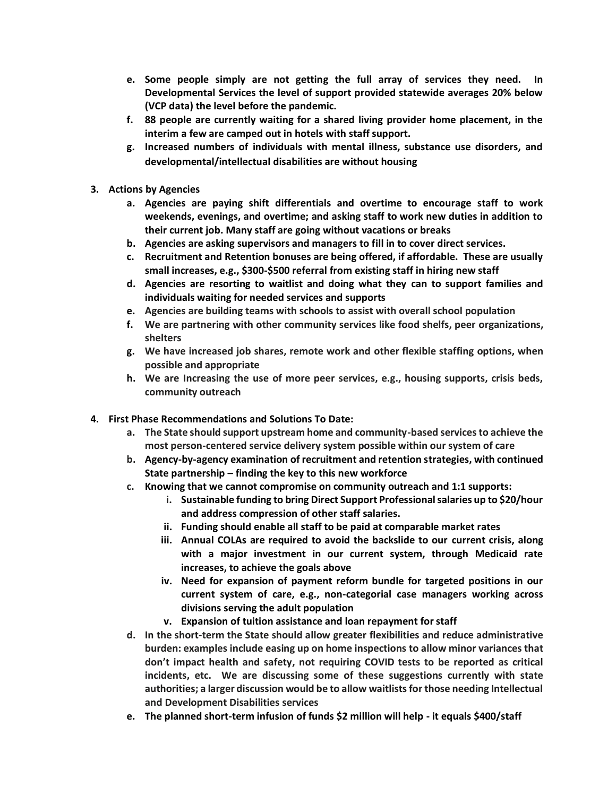- **e. Some people simply are not getting the full array of services they need. In Developmental Services the level of support provided statewide averages 20% below (VCP data) the level before the pandemic.**
- **f. 88 people are currently waiting for a shared living provider home placement, in the interim a few are camped out in hotels with staff support.**
- **g. Increased numbers of individuals with mental illness, substance use disorders, and developmental/intellectual disabilities are without housing**
- **3. Actions by Agencies**
	- **a. Agencies are paying shift differentials and overtime to encourage staff to work weekends, evenings, and overtime; and asking staff to work new duties in addition to their current job. Many staff are going without vacations or breaks**
	- **b. Agencies are asking supervisors and managers to fill in to cover direct services.**
	- **c. Recruitment and Retention bonuses are being offered, if affordable. These are usually small increases, e.g., \$300-\$500 referral from existing staff in hiring new staff**
	- **d. Agencies are resorting to waitlist and doing what they can to support families and individuals waiting for needed services and supports**
	- **e. Agencies are building teams with schools to assist with overall school population**
	- **f. We are partnering with other community services like food shelfs, peer organizations, shelters**
	- **g. We have increased job shares, remote work and other flexible staffing options, when possible and appropriate**
	- **h. We are Increasing the use of more peer services, e.g., housing supports, crisis beds, community outreach**
- **4. First Phase Recommendations and Solutions To Date:**
	- **a. The State should support upstream home and community-based services to achieve the most person-centered service delivery system possible within our system of care**
	- **b. Agency-by-agency examination of recruitment and retention strategies, with continued State partnership – finding the key to this new workforce**
	- **c. Knowing that we cannot compromise on community outreach and 1:1 supports:**
		- **i. Sustainable funding to bring Direct Support Professional salaries up to \$20/hour and address compression of other staff salaries.**
		- **ii. Funding should enable all staff to be paid at comparable market rates**
		- **iii. Annual COLAs are required to avoid the backslide to our current crisis, along with a major investment in our current system, through Medicaid rate increases, to achieve the goals above**
		- **iv. Need for expansion of payment reform bundle for targeted positions in our current system of care, e.g., non-categorial case managers working across divisions serving the adult population**
		- **v. Expansion of tuition assistance and loan repayment for staff**
	- **d. In the short-term the State should allow greater flexibilities and reduce administrative burden: examples include easing up on home inspections to allow minor variances that don't impact health and safety, not requiring COVID tests to be reported as critical incidents, etc. We are discussing some of these suggestions currently with state authorities; a larger discussion would be to allow waitlists for those needing Intellectual and Development Disabilities services**
	- **e. The planned short-term infusion of funds \$2 million will help - it equals \$400/staff**